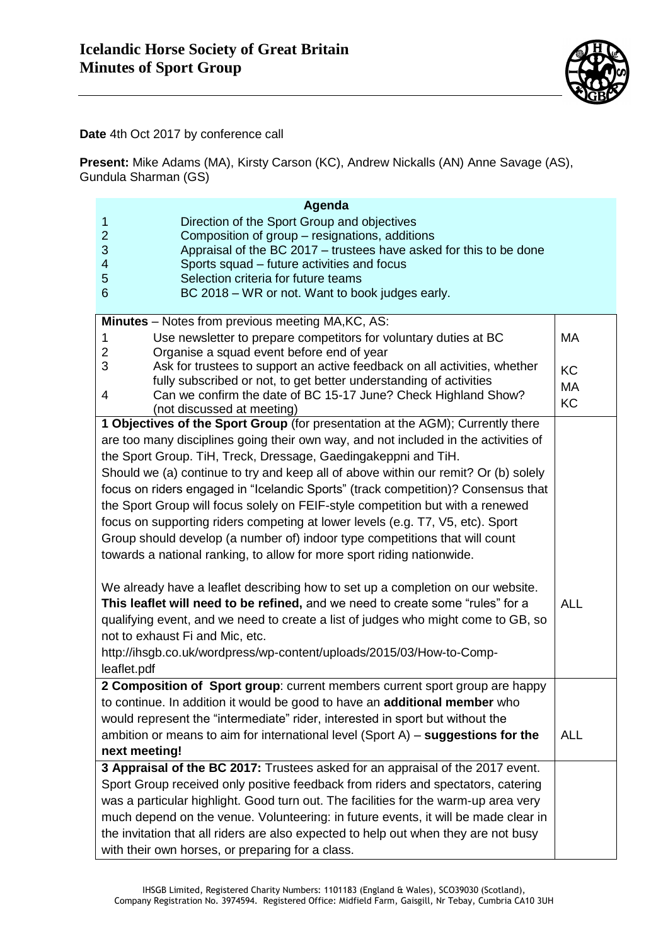

**Date** 4th Oct 2017 by conference call

**Present:** Mike Adams (MA), Kirsty Carson (KC), Andrew Nickalls (AN) Anne Savage (AS), Gundula Sharman (GS)

| Agenda<br>Direction of the Sport Group and objectives<br>$\mathbf{1}$<br>$\overline{2}$<br>Composition of group - resignations, additions<br>3<br>Appraisal of the BC 2017 - trustees have asked for this to be done<br>$\overline{\mathbf{4}}$<br>Sports squad – future activities and focus<br>5<br>Selection criteria for future teams<br>$6\phantom{1}$<br>BC 2018 - WR or not. Want to book judges early.                                                                                                                                                                                                                                                                                                                                   |                             |
|--------------------------------------------------------------------------------------------------------------------------------------------------------------------------------------------------------------------------------------------------------------------------------------------------------------------------------------------------------------------------------------------------------------------------------------------------------------------------------------------------------------------------------------------------------------------------------------------------------------------------------------------------------------------------------------------------------------------------------------------------|-----------------------------|
|                                                                                                                                                                                                                                                                                                                                                                                                                                                                                                                                                                                                                                                                                                                                                  |                             |
| Minutes - Notes from previous meeting MA, KC, AS:<br>Use newsletter to prepare competitors for voluntary duties at BC<br>1<br>$\overline{2}$<br>Organise a squad event before end of year<br>3<br>Ask for trustees to support an active feedback on all activities, whether<br>fully subscribed or not, to get better understanding of activities<br>Can we confirm the date of BC 15-17 June? Check Highland Show?<br>4                                                                                                                                                                                                                                                                                                                         | МA<br>KC<br>MA<br><b>KC</b> |
| (not discussed at meeting)                                                                                                                                                                                                                                                                                                                                                                                                                                                                                                                                                                                                                                                                                                                       |                             |
| 1 Objectives of the Sport Group (for presentation at the AGM); Currently there<br>are too many disciplines going their own way, and not included in the activities of<br>the Sport Group. TiH, Treck, Dressage, Gaedingakeppni and TiH.<br>Should we (a) continue to try and keep all of above within our remit? Or (b) solely<br>focus on riders engaged in "Icelandic Sports" (track competition)? Consensus that<br>the Sport Group will focus solely on FEIF-style competition but with a renewed<br>focus on supporting riders competing at lower levels (e.g. T7, V5, etc). Sport<br>Group should develop (a number of) indoor type competitions that will count<br>towards a national ranking, to allow for more sport riding nationwide. |                             |
| We already have a leaflet describing how to set up a completion on our website.<br>This leaflet will need to be refined, and we need to create some "rules" for a<br>qualifying event, and we need to create a list of judges who might come to GB, so<br>not to exhaust Fi and Mic, etc.<br>http://ihsgb.co.uk/wordpress/wp-content/uploads/2015/03/How-to-Comp-<br>leaflet.pdf                                                                                                                                                                                                                                                                                                                                                                 | <b>ALL</b>                  |
| 2 Composition of Sport group: current members current sport group are happy<br>to continue. In addition it would be good to have an additional member who<br>would represent the "intermediate" rider, interested in sport but without the<br>ambition or means to aim for international level (Sport A) $-$ suggestions for the<br>next meeting!                                                                                                                                                                                                                                                                                                                                                                                                | <b>ALL</b>                  |
| 3 Appraisal of the BC 2017: Trustees asked for an appraisal of the 2017 event.<br>Sport Group received only positive feedback from riders and spectators, catering<br>was a particular highlight. Good turn out. The facilities for the warm-up area very<br>much depend on the venue. Volunteering: in future events, it will be made clear in<br>the invitation that all riders are also expected to help out when they are not busy<br>with their own horses, or preparing for a class.                                                                                                                                                                                                                                                       |                             |